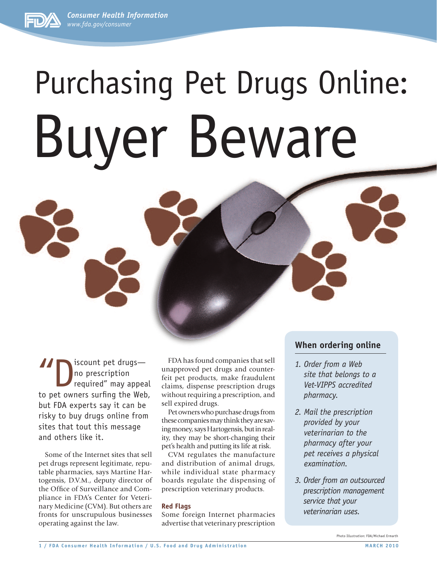*Consumer Health Information www.fda.gov/consumer*

# Purchasing Pet Drugs Online: Buyer Beware

I iscount pet drugs—<br>
no prescription<br>
required" may appear<br>
to not owners surfing the Web no prescription required" may appeal to pet owners surfing the Web, but FDA experts say it can be risky to buy drugs online from sites that tout this message and others like it.

Some of the Internet sites that sell pet drugs represent legitimate, reputable pharmacies, says Martine Hartogensis, D.V.M., deputy director of the Office of Surveillance and Compliance in FDA's Center for Veterinary Medicine (CVM). But others are fronts for unscrupulous businesses operating against the law.

FDA has found companies that sell unapproved pet drugs and counterfeit pet products, make fraudulent claims, dispense prescription drugs without requiring a prescription, and sell expired drugs.

Pet owners who purchase drugs from these companies may think they are saving money, says Hartogensis, but in reality, they may be short-changing their pet's health and putting its life at risk.

CVM regulates the manufacture and distribution of animal drugs, while individual state pharmacy boards regulate the dispensing of prescription veterinary products.

## **Red Flags**

Some foreign Internet pharmacies advertise that veterinary prescription

# **When ordering online**

- *1. Order from a Web site that belongs to a Vet-VIPPS accredited pharmacy.*
- *2. Mail the prescription provided by your veterinarian to the pharmacy after your pet receives a physical examination.*
- *3. Order from an outsourced prescription management service that your veterinarian uses.*